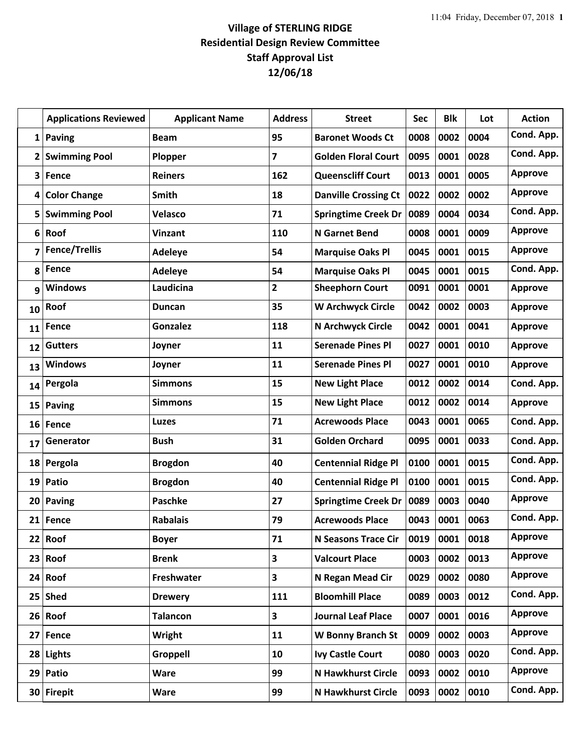## **Village of STERLING RIDGE Residential Design Review Committee Staff Approval List 12/06/18**

|                         | <b>Applications Reviewed</b> | <b>Applicant Name</b> | <b>Address</b>          | <b>Street</b>               | <b>Sec</b> | <b>Blk</b> | Lot  | <b>Action</b>  |
|-------------------------|------------------------------|-----------------------|-------------------------|-----------------------------|------------|------------|------|----------------|
| $1\vert$                | <b>Paving</b>                | <b>Beam</b>           | 95                      | <b>Baronet Woods Ct</b>     | 0008       | 0002       | 0004 | Cond. App.     |
| $\overline{\mathbf{2}}$ | <b>Swimming Pool</b>         | Plopper               | $\overline{\mathbf{z}}$ | <b>Golden Floral Court</b>  | 0095       | 0001       | 0028 | Cond. App.     |
| 3                       | Fence                        | <b>Reiners</b>        | 162                     | <b>Queenscliff Court</b>    | 0013       | 0001       | 0005 | <b>Approve</b> |
| 4                       | <b>Color Change</b>          | Smith                 | 18                      | <b>Danville Crossing Ct</b> | 0022       | 0002       | 0002 | <b>Approve</b> |
| 5                       | <b>Swimming Pool</b>         | Velasco               | 71                      | <b>Springtime Creek Dr</b>  | 0089       | 0004       | 0034 | Cond. App.     |
| 6                       | Roof                         | <b>Vinzant</b>        | 110                     | <b>N</b> Garnet Bend        | 0008       | 0001       | 0009 | <b>Approve</b> |
| 7                       | <b>Fence/Trellis</b>         | <b>Adeleye</b>        | 54                      | <b>Marquise Oaks Pl</b>     | 0045       | 0001       | 0015 | <b>Approve</b> |
| 8                       | Fence                        | Adeleye               | 54                      | <b>Marquise Oaks Pl</b>     | 0045       | 0001       | 0015 | Cond. App.     |
| 9                       | <b>Windows</b>               | Laudicina             | $\overline{2}$          | <b>Sheephorn Court</b>      | 0091       | 0001       | 0001 | <b>Approve</b> |
| 10                      | Roof                         | Duncan                | 35                      | <b>W Archwyck Circle</b>    | 0042       | 0002       | 0003 | <b>Approve</b> |
| 11                      | Fence                        | <b>Gonzalez</b>       | 118                     | N Archwyck Circle           | 0042       | 0001       | 0041 | <b>Approve</b> |
| 12                      | <b>Gutters</b>               | Joyner                | 11                      | <b>Serenade Pines Pl</b>    | 0027       | 0001       | 0010 | <b>Approve</b> |
| 13                      | <b>Windows</b>               | Joyner                | 11                      | <b>Serenade Pines Pl</b>    | 0027       | 0001       | 0010 | <b>Approve</b> |
| 14                      | Pergola                      | <b>Simmons</b>        | 15                      | <b>New Light Place</b>      | 0012       | 0002       | 0014 | Cond. App.     |
| 15                      | Paving                       | <b>Simmons</b>        | 15                      | <b>New Light Place</b>      | 0012       | 0002       | 0014 | <b>Approve</b> |
| 16                      | Fence                        | <b>Luzes</b>          | 71                      | <b>Acrewoods Place</b>      | 0043       | 0001       | 0065 | Cond. App.     |
| 17                      | Generator                    | <b>Bush</b>           | 31                      | <b>Golden Orchard</b>       | 0095       | 0001       | 0033 | Cond. App.     |
| 18                      | Pergola                      | <b>Brogdon</b>        | 40                      | <b>Centennial Ridge Pl</b>  | 0100       | 0001       | 0015 | Cond. App.     |
| 19                      | Patio                        | <b>Brogdon</b>        | 40                      | <b>Centennial Ridge Pl</b>  | 0100       | 0001       | 0015 | Cond. App.     |
| 20 <sub>1</sub>         | <b>Paving</b>                | <b>Paschke</b>        | 27                      | <b>Springtime Creek Dr</b>  | 0089       | 0003       | 0040 | <b>Approve</b> |
| 21                      | Fence                        | <b>Rabalais</b>       | 79                      | <b>Acrewoods Place</b>      | 0043       | 0001       | 0063 | Cond. App.     |
| 22                      | Roof                         | <b>Boyer</b>          | 71                      | <b>N Seasons Trace Cir</b>  | 0019       | 0001       | 0018 | <b>Approve</b> |
| 23                      | Roof                         | <b>Brenk</b>          | $\overline{\mathbf{3}}$ | <b>Valcourt Place</b>       | 0003       | 0002       | 0013 | <b>Approve</b> |
| 24                      | Roof                         | Freshwater            | $\overline{\mathbf{3}}$ | N Regan Mead Cir            | 0029       | 0002       | 0080 | <b>Approve</b> |
|                         | $25$ Shed                    | <b>Drewery</b>        | 111                     | <b>Bloomhill Place</b>      | 0089       | 0003       | 0012 | Cond. App.     |
| 26                      | Roof                         | <b>Talancon</b>       | $\overline{\mathbf{3}}$ | <b>Journal Leaf Place</b>   | 0007       | 0001       | 0016 | <b>Approve</b> |
| 27                      | Fence                        | Wright                | 11                      | <b>W Bonny Branch St</b>    | 0009       | 0002       | 0003 | Approve        |
| 28                      | <b>Lights</b>                | Groppell              | 10                      | <b>Ivy Castle Court</b>     | 0080       | 0003       | 0020 | Cond. App.     |
| 29                      | Patio                        | Ware                  | 99                      | <b>N Hawkhurst Circle</b>   | 0093       | 0002       | 0010 | Approve        |
|                         | 30 Firepit                   | <b>Ware</b>           | 99                      | N Hawkhurst Circle          | 0093       | 0002       | 0010 | Cond. App.     |